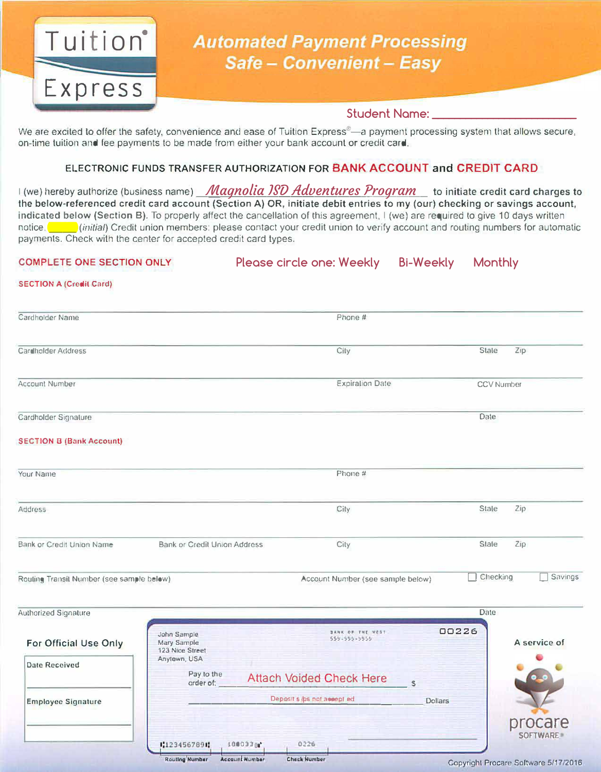

# **Automated Payment Processing** Safe - Convenient - Easy

# **Student Name: \_\_\_\_\_\_\_\_\_\_\_\_\_\_\_\_\_\_\_\_\_\_\_\_\_\_**

We are excited to offer the safety, convenience and ease of Tuition Express®-a payment processing system that allows secure, on-time tuition and fee payments to be made from either your bank account or credit card.

# **ELECTRONIC FUNDS TRANSFER AUTHORIZATION FOR BANK ACCOUNT and CREDIT CARD**

I (we) hereby authorize (business name) Magnolia ISD Adventures Program ht initiate credit card charges to the below-referenced credit card account (Section A) OR, initiate debit entries to my (our) checking or savings account, indicated below (Section B). To properly affect the cancellation of this agreement, I (we) are required to give 10 days written notice. \_\_ *(initial}* Credit union members: please contact your credit union to verify account and routing numbers for automatic payments. Check with the center for accepted credit card types.

#### **COMPLETE ONE SECTION ONLY**

Please circle one: Weekly Bi-Weekly Monthly

#### **SECTION A (Credit Card)**

| Cardholder Name                           |                                     | Phone #                           |                          |  |  |
|-------------------------------------------|-------------------------------------|-----------------------------------|--------------------------|--|--|
| Cardholder Address                        |                                     | City                              | <b>Stale</b><br>Zip      |  |  |
| Account Number                            |                                     | <b>Expiration Date</b>            | <b>CCV Number</b>        |  |  |
| Cardholder Signature                      |                                     |                                   | Date                     |  |  |
| <b>SECTION B (Bank Account)</b>           |                                     |                                   |                          |  |  |
| Your Name                                 |                                     | Phone #                           |                          |  |  |
| Address                                   |                                     | City                              | Stale<br>Zip             |  |  |
| Bank or Credit Union Name                 | <b>Bank or Credit Union Address</b> | City                              | Zip.<br>State            |  |  |
| Routing Transit Number (see sample below) |                                     | Account Number (see sample below) | Checking<br>Savings<br>÷ |  |  |

| <b>Authorized Signature</b> |                                                               |                                              |                                  | Date           |                                      |
|-----------------------------|---------------------------------------------------------------|----------------------------------------------|----------------------------------|----------------|--------------------------------------|
| For Official Use Only       | John Sample<br>Mary Sample<br>123 Nice Street<br>Anytown, USA |                                              | BANK OF THE WEST<br>555-555-5555 | 00226          | A service of                         |
| Date Received               | Pay to the<br>order of.                                       | <b>Attach Voided Check Here</b>              |                                  | $\alpha$       |                                      |
| <b>Employee Signature</b>   |                                                               | Deposit sibs not assept ed                   |                                  | <b>Dollars</b> |                                      |
|                             | 1,1234567891                                                  | 0226<br>1800338                              |                                  |                | procare<br><b>SOFTWARE</b>           |
|                             | <b>Routing Number</b>                                         | <b>Check Number</b><br><b>Account Number</b> |                                  |                | Copyright Procare Software 5/17/2016 |